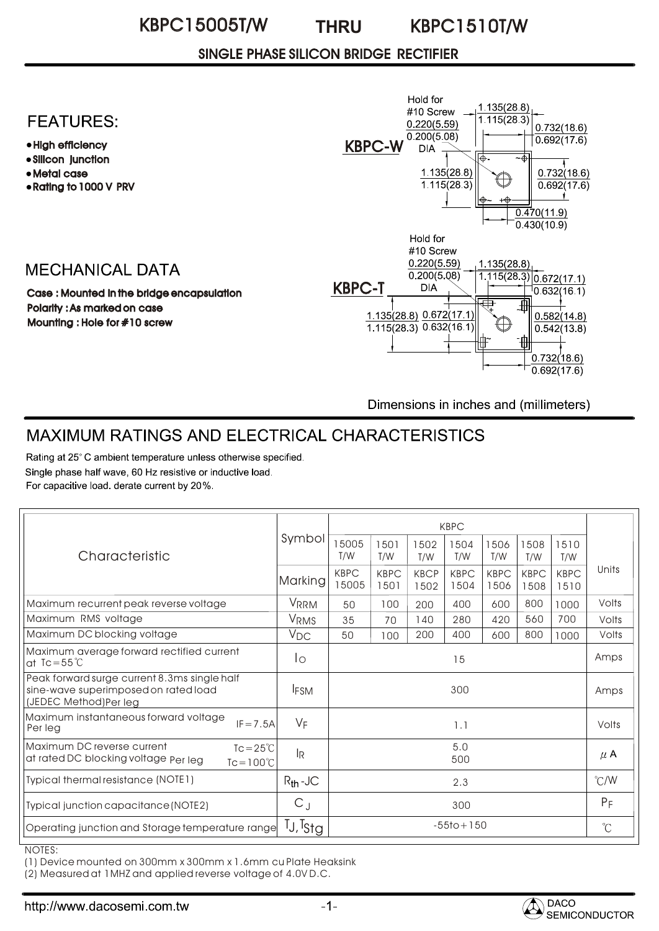#### KBPC15005T/W THRU KBPC1510T/W **THRU**

## SINGLE PHASE SILICON BRIDGE RECTIFIER

## **FEATURES:**

- High efficiency
- Silicon junction
- Metal case
- Rating to 1000 V PRV

## **MECHANICAL DATA**

Case : Mounted in the bridge encapsulation Polarity : As marked on case Mounting : Hole for #10 screw



Dimensions in inches and (millimeters)

# MAXIMUM RATINGS AND ELECTRICAL CHARACTERISTICS

Rating at 25°C ambient temperature unless otherwise specified. Single phase half wave, 60 Hz resistive or inductive load. For capacitive load. derate current by 20%.

| Characteristic                                                                                                  | Symbol               | <b>KBPC</b>          |                     |                     |                     |                     |                     |                     |               |
|-----------------------------------------------------------------------------------------------------------------|----------------------|----------------------|---------------------|---------------------|---------------------|---------------------|---------------------|---------------------|---------------|
|                                                                                                                 |                      | 15005<br>T/W         | 1501<br>T/W         | 1502<br>T/W         | 1504<br>T/W         | 1506<br>T/W         | 1508<br>T/W         | 1510<br>T/W         |               |
|                                                                                                                 | Marking              | <b>KBPC</b><br>15005 | <b>KBPC</b><br>1501 | <b>KBCP</b><br>1502 | <b>KBPC</b><br>1504 | <b>KBPC</b><br>1506 | <b>KBPC</b><br>1508 | <b>KBPC</b><br>1510 | Units         |
| Maximum recurrent peak reverse voltage                                                                          | <b>VRRM</b>          | 50                   | 100                 | 200                 | 400                 | 600                 | 800                 | 1000                | Volts         |
| Maximum RMS voltage                                                                                             | <b>VRMS</b>          | 35                   | 70                  | 140                 | 280                 | 420                 | 560                 | 700                 | Volts         |
| Maximum DC blocking voltage                                                                                     | $V_{DC}$             | 50                   | 100                 | 200                 | 400                 | 600                 | 800                 | 1000                | Volts         |
| Maximum average forward rectified current<br>at Tc=55 $°C$                                                      | Ιo                   | 15                   |                     |                     |                     |                     |                     | Amps                |               |
| Peak forward surge current 8.3ms single half<br>sine-wave superimposed on rated load<br>(JEDEC Method)Per leg   | <b>IFSM</b>          | 300                  |                     |                     |                     |                     |                     |                     | Amps          |
| Maximum instantaneous forward voltage<br>$IF = 7.5A$<br>Per lea                                                 | $V_F$                | 1.1                  |                     |                     |                     |                     |                     |                     | Volts         |
| Maximum DC reverse current<br>$Tc = 25^{\circ}C$<br>at rated DC blocking voltage Per leg<br>$Tc = 100^{\circ}C$ | l <sub>R</sub>       | 5.0<br>500           |                     |                     |                     |                     |                     |                     | $\mu$ A       |
| Typical thermal resistance (NOTE1)                                                                              | $R_{th}$ -JC         | 2.3                  |                     |                     |                     |                     |                     |                     | $\degree$ C/W |
| Typical junction capacitance (NOTE2)                                                                            | $C_J$                | 300                  |                     |                     |                     |                     |                     |                     | $P_F$         |
| Operating junction and Storage temperature range                                                                | TJ, T <sub>Sta</sub> | $-55$ to + 150       |                     |                     |                     |                     |                     |                     | $^{\circ}$ C  |

NOTES:

(1) Device mounted on 300mm x 300mm x 1.6mm cu Plate Heaksink

(2) Measured at 1MHZ and applied reverse voltage of 4.0V D.C.

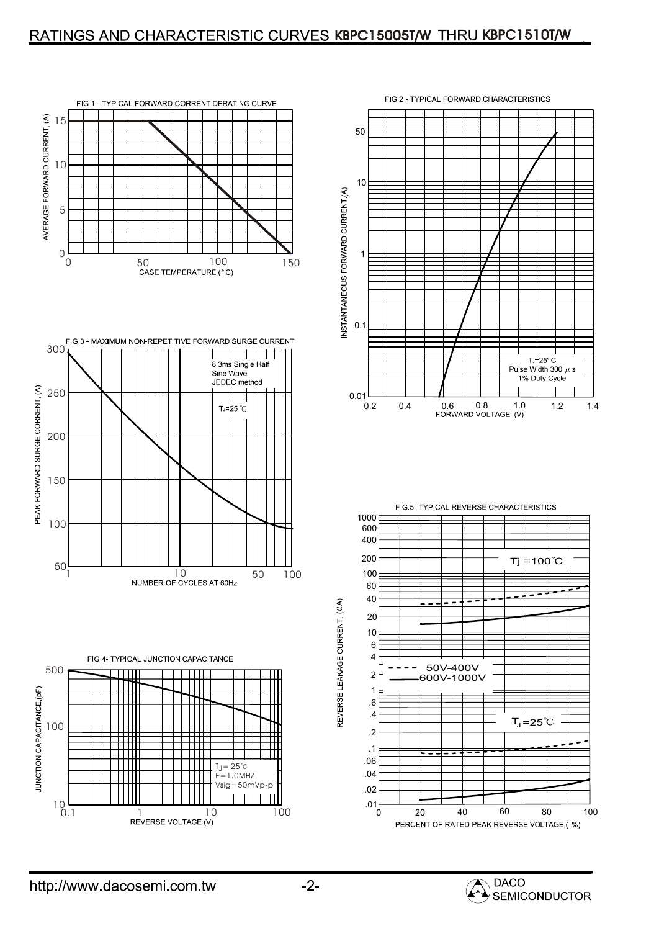## RATINGS AND CHARACTERISTIC CURVES KBPC15005T/W THRU KBPC1510T/W













REVERSE LEAKAGE CURRENT, (//A)